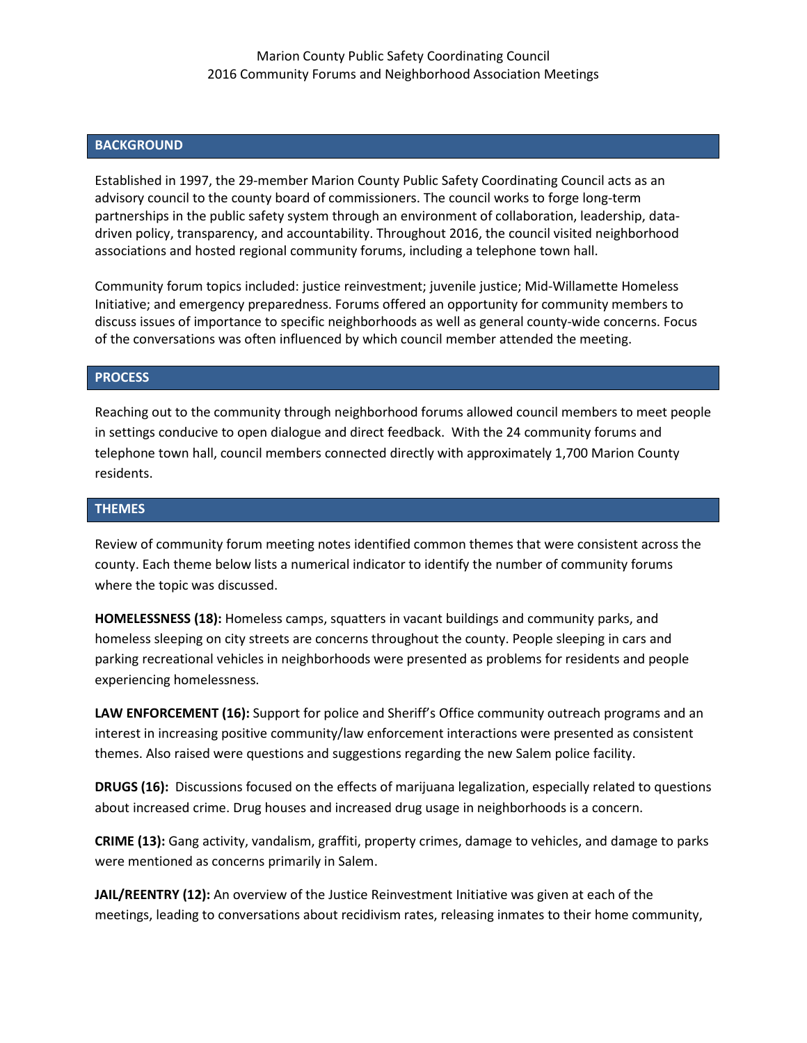## **BACKGROUND**

Established in 1997, the 29-member Marion County Public Safety Coordinating Council acts as an advisory council to the county board of commissioners. The council works to forge long-term partnerships in the public safety system through an environment of collaboration, leadership, datadriven policy, transparency, and accountability. Throughout 2016, the council visited neighborhood associations and hosted regional community forums, including a telephone town hall.

Community forum topics included: justice reinvestment; juvenile justice; Mid-Willamette Homeless Initiative; and emergency preparedness. Forums offered an opportunity for community members to discuss issues of importance to specific neighborhoods as well as general county-wide concerns. Focus of the conversations was often influenced by which council member attended the meeting.

## **PROCESS**

Reaching out to the community through neighborhood forums allowed council members to meet people in settings conducive to open dialogue and direct feedback. With the 24 community forums and telephone town hall, council members connected directly with approximately 1,700 Marion County residents.

## **THEMES**

Review of community forum meeting notes identified common themes that were consistent across the county. Each theme below lists a numerical indicator to identify the number of community forums where the topic was discussed.

**HOMELESSNESS (18):** Homeless camps, squatters in vacant buildings and community parks, and homeless sleeping on city streets are concerns throughout the county. People sleeping in cars and parking recreational vehicles in neighborhoods were presented as problems for residents and people experiencing homelessness.

**LAW ENFORCEMENT (16):** Support for police and Sheriff's Office community outreach programs and an interest in increasing positive community/law enforcement interactions were presented as consistent themes. Also raised were questions and suggestions regarding the new Salem police facility.

**DRUGS (16):** Discussions focused on the effects of marijuana legalization, especially related to questions about increased crime. Drug houses and increased drug usage in neighborhoods is a concern.

**CRIME (13):** Gang activity, vandalism, graffiti, property crimes, damage to vehicles, and damage to parks were mentioned as concerns primarily in Salem.

**JAIL/REENTRY (12):** An overview of the Justice Reinvestment Initiative was given at each of the meetings, leading to conversations about recidivism rates, releasing inmates to their home community,